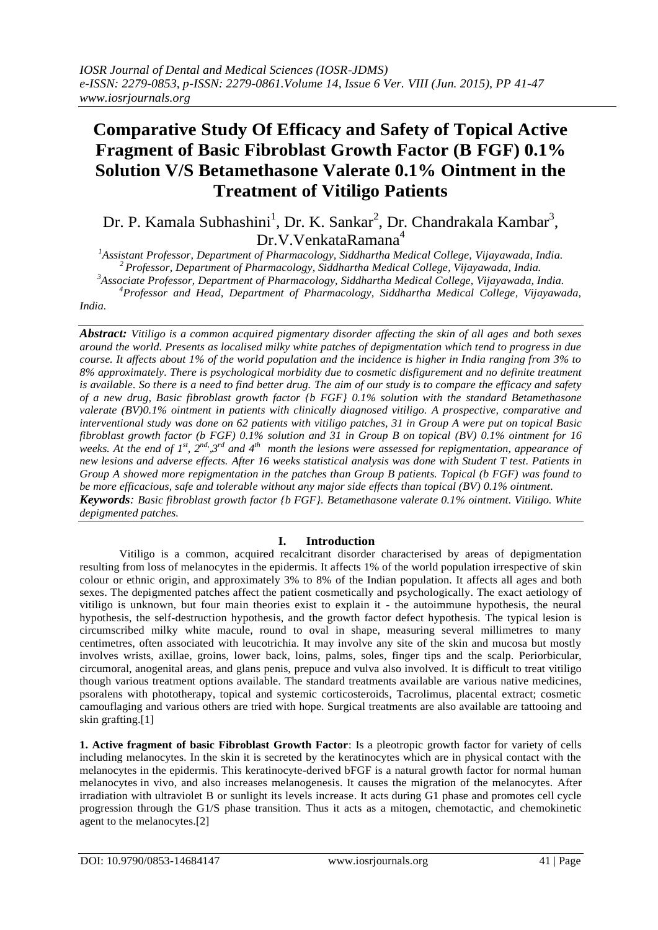# **Comparative Study Of Efficacy and Safety of Topical Active Fragment of Basic Fibroblast Growth Factor (B FGF) 0.1% Solution V/S Betamethasone Valerate 0.1% Ointment in the Treatment of Vitiligo Patients**

Dr. P. Kamala Subhashini<sup>1</sup>, Dr. K. Sankar<sup>2</sup>, Dr. Chandrakala Kambar<sup>3</sup>, Dr.V.VenkataRamana<sup>4</sup>

 *Assistant Professor, Department of Pharmacology, Siddhartha Medical College, Vijayawada, India. Professor, Department of Pharmacology, Siddhartha Medical College, Vijayawada, India. Associate Professor, Department of Pharmacology, Siddhartha Medical College, Vijayawada, India. Professor and Head, Department of Pharmacology, Siddhartha Medical College, Vijayawada,* 

*India.*

*Abstract: Vitiligo is a common acquired pigmentary disorder affecting the skin of all ages and both sexes around the world. Presents as localised milky white patches of depigmentation which tend to progress in due course. It affects about 1% of the world population and the incidence is higher in India ranging from 3% to 8% approximately. There is psychological morbidity due to cosmetic disfigurement and no definite treatment is available. So there is a need to find better drug. The aim of our study is to compare the efficacy and safety of a new drug, Basic fibroblast growth factor {b FGF} 0.1% solution with the standard Betamethasone valerate (BV)0.1% ointment in patients with clinically diagnosed vitiligo. A prospective, comparative and interventional study was done on 62 patients with vitiligo patches, 31 in Group A were put on topical Basic fibroblast growth factor (b FGF) 0.1% solution and 31 in Group B on topical (BV) 0.1% ointment for 16*  weeks. At the end of  $I^{st}$ ,  $2^{nd}$ ,  $3^{rd}$  and  $4^{th}$  month the lesions were assessed for repigmentation, appearance of *new lesions and adverse effects. After 16 weeks statistical analysis was done with Student T test. Patients in Group A showed more repigmentation in the patches than Group B patients. Topical (b FGF) was found to be more efficacious, safe and tolerable without any major side effects than topical (BV) 0.1% ointment. Keywords: Basic fibroblast growth factor {b FGF}. Betamethasone valerate 0.1% ointment. Vitiligo. White depigmented patches.*

# **I. Introduction**

Vitiligo is a common, acquired recalcitrant disorder characterised by areas of depigmentation resulting from loss of melanocytes in the epidermis. It affects 1% of the world population irrespective of skin colour or ethnic origin, and approximately 3% to 8% of the Indian population. It affects all ages and both sexes. The depigmented patches affect the patient cosmetically and psychologically. The exact aetiology of vitiligo is unknown, but four main theories exist to explain it - the autoimmune hypothesis, the neural hypothesis, the self-destruction hypothesis, and the growth factor defect hypothesis. The typical lesion is circumscribed milky white macule, round to oval in shape, measuring several millimetres to many centimetres, often associated with leucotrichia. It may involve any site of the skin and mucosa but mostly involves wrists, axillae, groins, lower back, loins, palms, soles, finger tips and the scalp. Periorbicular, circumoral, anogenital areas, and glans penis, prepuce and vulva also involved. It is difficult to treat vitiligo though various treatment options available. The standard treatments available are various native medicines, psoralens with phototherapy, topical and systemic corticosteroids, Tacrolimus, placental extract; cosmetic camouflaging and various others are tried with hope. Surgical treatments are also available are tattooing and skin grafting.[1]

**1. Active fragment of basic Fibroblast Growth Factor**: Is a pleotropic growth factor for variety of cells including melanocytes. In the skin it is secreted by the keratinocytes which are in physical contact with the melanocytes in the epidermis. This keratinocyte-derived bFGF is a natural growth factor for normal human melanocytes in vivo, and also increases melanogenesis. It causes the migration of the melanocytes. After irradiation with ultraviolet B or sunlight its levels increase. It acts during G1 phase and promotes cell cycle progression through the G1/S phase transition. Thus it acts as a mitogen, chemotactic, and chemokinetic agent to the melanocytes.[2]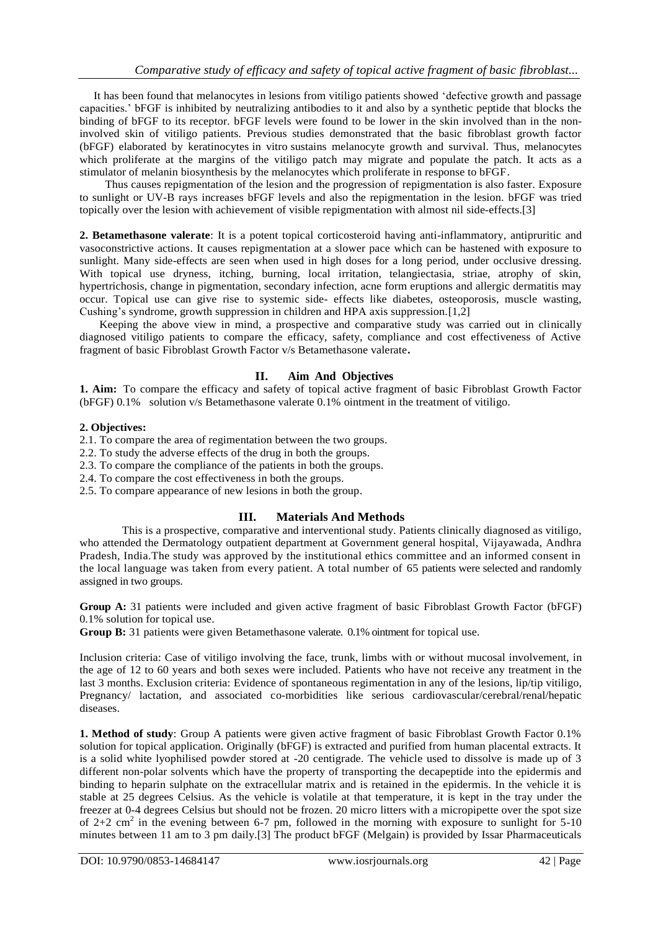It has been found that melanocytes in lesions from vitiligo patients showed 'defective growth and passage capacities.' bFGF is inhibited by neutralizing antibodies to it and also by a synthetic peptide that blocks the binding of bFGF to its receptor. bFGF levels were found to be lower in the skin involved than in the noninvolved skin of vitiligo patients. Previous studies demonstrated that the basic fibroblast growth factor (bFGF) elaborated by keratinocytes in vitro sustains melanocyte growth and survival. Thus, melanocytes which proliferate at the margins of the vitiligo patch may migrate and populate the patch. It acts as a stimulator of melanin biosynthesis by the melanocytes which proliferate in response to bFGF.

 Thus causes repigmentation of the lesion and the progression of repigmentation is also faster. Exposure to sunlight or UV-B rays increases bFGF levels and also the repigmentation in the lesion. bFGF was tried topically over the lesion with achievement of visible repigmentation with almost nil side-effects.[3]

**2. Betamethasone valerate**: It is a potent topical corticosteroid having anti-inflammatory, antipruritic and vasoconstrictive actions. It causes repigmentation at a slower pace which can be hastened with exposure to sunlight. Many side-effects are seen when used in high doses for a long period, under occlusive dressing. With topical use dryness, itching, burning, local irritation, telangiectasia, striae, atrophy of skin, hypertrichosis, change in pigmentation, secondary infection, acne form eruptions and allergic dermatitis may occur. Topical use can give rise to systemic side- effects like diabetes, osteoporosis, muscle wasting, Cushing's syndrome, growth suppression in children and HPA axis suppression.[1,2]

 Keeping the above view in mind, a prospective and comparative study was carried out in clinically diagnosed vitiligo patients to compare the efficacy, safety, compliance and cost effectiveness of Active fragment of basic Fibroblast Growth Factor v/s Betamethasone valerate**.**

# **II. Aim And Objectives**

**1. Aim:** To compare the efficacy and safety of topical active fragment of basic Fibroblast Growth Factor (bFGF) 0.1% solution v/s Betamethasone valerate 0.1% ointment in the treatment of vitiligo.

## **2. Objectives:**

2.1. To compare the area of regimentation between the two groups.

- 2.2. To study the adverse effects of the drug in both the groups.
- 2.3. To compare the compliance of the patients in both the groups.
- 2.4. To compare the cost effectiveness in both the groups.
- 2.5. To compare appearance of new lesions in both the group.

## **III. Materials And Methods**

This is a prospective, comparative and interventional study. Patients clinically diagnosed as vitiligo, who attended the Dermatology outpatient department at Government general hospital, Vijayawada, Andhra Pradesh, India.The study was approved by the institutional ethics committee and an informed consent in the local language was taken from every patient. A total number of 65 patients were selected and randomly assigned in two groups.

**Group A:** 31 patients were included and given active fragment of basic Fibroblast Growth Factor (bFGF) 0.1% solution for topical use.

**Group B:** 31 patients were given Betamethasone valerate. 0.1% ointment for topical use.

Inclusion criteria: Case of vitiligo involving the face, trunk, limbs with or without mucosal involvement, in the age of 12 to 60 years and both sexes were included. Patients who have not receive any treatment in the last 3 months. Exclusion criteria: Evidence of spontaneous regimentation in any of the lesions, lip/tip vitiligo, Pregnancy/ lactation, and associated co-morbidities like serious cardiovascular/cerebral/renal/hepatic diseases.

**1. Method of study**: Group A patients were given active fragment of basic Fibroblast Growth Factor 0.1% solution for topical application. Originally (bFGF) is extracted and purified from human placental extracts. It is a solid white lyophilised powder stored at -20 centigrade. The vehicle used to dissolve is made up of 3 different non-polar solvents which have the property of transporting the decapeptide into the epidermis and binding to heparin sulphate on the extracellular matrix and is retained in the epidermis. In the vehicle it is stable at 25 degrees Celsius. As the vehicle is volatile at that temperature, it is kept in the tray under the freezer at 0-4 degrees Celsius but should not be frozen. 20 micro litters with a micropipette over the spot size of  $2+2$  cm<sup>2</sup> in the evening between 6-7 pm, followed in the morning with exposure to sunlight for 5-10 minutes between 11 am to 3 pm daily.[3] The product bFGF (Melgain) is provided by Issar Pharmaceuticals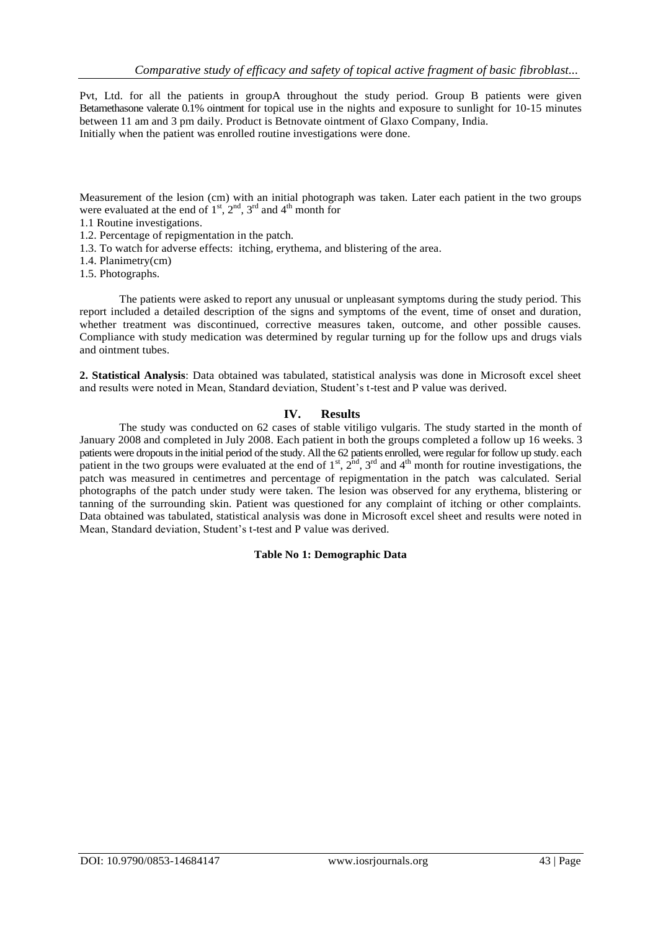Pvt, Ltd. for all the patients in groupA throughout the study period. Group B patients were given Betamethasone valerate 0.1% ointment for topical use in the nights and exposure to sunlight for 10-15 minutes between 11 am and 3 pm daily. Product is Betnovate ointment of Glaxo Company, India. Initially when the patient was enrolled routine investigations were done.

Measurement of the lesion (cm) with an initial photograph was taken. Later each patient in the two groups were evaluated at the end of  $1<sup>st</sup>$ ,  $2<sup>nd</sup>$ ,  $3<sup>rd</sup>$  and  $4<sup>th</sup>$  month for

- 1.1 Routine investigations.
- 1.2. Percentage of repigmentation in the patch.
- 1.3. To watch for adverse effects: itching, erythema, and blistering of the area.
- 1.4. Planimetry(cm)
- 1.5. Photographs.

The patients were asked to report any unusual or unpleasant symptoms during the study period. This report included a detailed description of the signs and symptoms of the event, time of onset and duration, whether treatment was discontinued, corrective measures taken, outcome, and other possible causes. Compliance with study medication was determined by regular turning up for the follow ups and drugs vials and ointment tubes.

**2. Statistical Analysis**: Data obtained was tabulated, statistical analysis was done in Microsoft excel sheet and results were noted in Mean, Standard deviation, Student's t-test and P value was derived.

## **IV. Results**

The study was conducted on 62 cases of stable vitiligo vulgaris. The study started in the month of January 2008 and completed in July 2008. Each patient in both the groups completed a follow up 16 weeks. 3 patients were dropouts in the initial period of the study. All the 62 patients enrolled, were regular for follow up study. each patient in the two groups were evaluated at the end of  $1<sup>st</sup>$ ,  $2<sup>nd</sup>$ ,  $3<sup>rd</sup>$  and  $4<sup>th</sup>$  month for routine investigations, the patch was measured in centimetres and percentage of repigmentation in the patch was calculated. Serial photographs of the patch under study were taken. The lesion was observed for any erythema, blistering or tanning of the surrounding skin. Patient was questioned for any complaint of itching or other complaints. Data obtained was tabulated, statistical analysis was done in Microsoft excel sheet and results were noted in Mean, Standard deviation, Student's t-test and P value was derived.

#### **Table No 1: Demographic Data**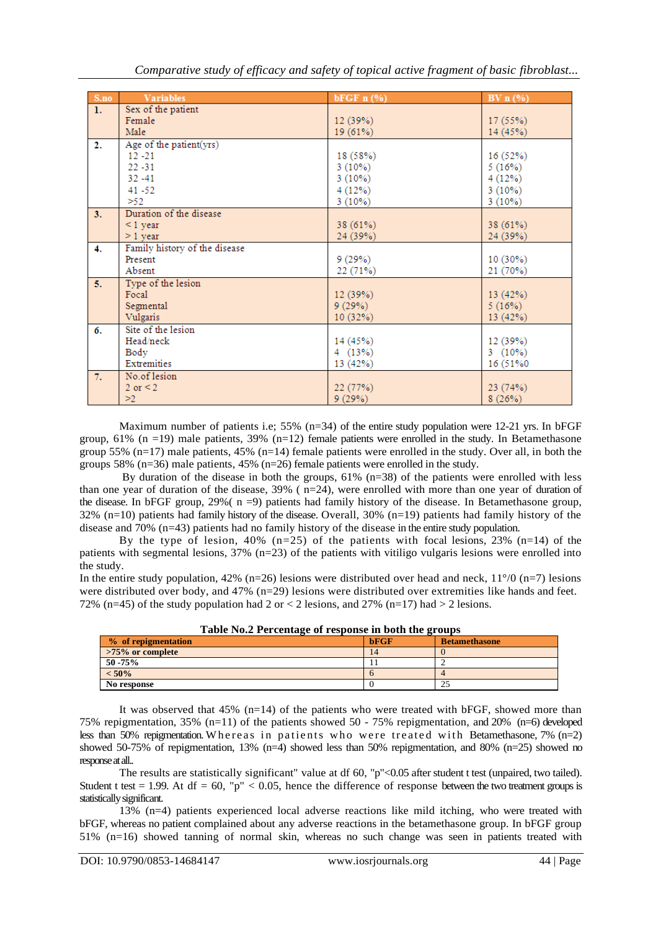*Comparative study of efficacy and safety of topical active fragment of basic fibroblast...*

| S.no | <b>Variables</b>              | bFGF $n$ $(\%)$ | BV $n$ (%) |
|------|-------------------------------|-----------------|------------|
| 1.   | Sex of the patient            |                 |            |
|      | Female                        | 12(39%)         | 17(55%)    |
|      | Male                          | 19(61%)         | 14 (45%)   |
| 2.   | Age of the patient(yrs)       |                 |            |
|      | $12 - 21$                     | 18 (58%)        | 16 (52%)   |
|      | $22 - 31$                     | 3(10%)          | 5(16%)     |
|      | $32 - 41$                     | 3(10%)          | 4(12%)     |
|      | $41 - 52$                     | 4(12%)          | $3(10\%)$  |
|      | >52                           | $3(10\%)$       | $3(10\%)$  |
| 3.   | Duration of the disease       |                 |            |
|      | $\leq$ 1 year                 | 38 (61%)        | 38 (61%)   |
|      | $>1$ year                     | 24 (39%)        | 24 (39%)   |
| 4.   | Family history of the disease |                 |            |
|      | Present                       | 9(29%)          | $10(30\%)$ |
|      | Absent                        | 22 (71%)        | 21 (70%)   |
| 5.   | Type of the lesion            |                 |            |
|      | Focal                         | 12(39%)         | 13(42%)    |
|      | Segmental                     | 9(29%)          | 5(16%)     |
|      | Vulgaris                      | 10(32%)         | 13 (42%)   |
| 6.   | Site of the lesion            |                 |            |
|      | Head/neck                     | 14 (45%)        | 12 (39%)   |
|      | Body                          | 4(13%)          | 3 $(10\%)$ |
|      | Extremities                   | 13(42%)         | 16 (51%)   |
| 7.   | No.of lesion                  |                 |            |
|      | $2 \text{ or } 2$             | 22(77%)         | 23(74%)    |
|      | >2                            | 9(29%)          | 8(26%)     |

Maximum number of patients i.e; 55% ( $n=34$ ) of the entire study population were 12-21 yrs. In bFGF group, 61% (n =19) male patients, 39% (n=12) female patients were enrolled in the study. In Betamethasone group 55% (n=17) male patients, 45% (n=14) female patients were enrolled in the study. Over all, in both the groups 58% ( $n=36$ ) male patients, 45% ( $n=26$ ) female patients were enrolled in the study.

By duration of the disease in both the groups,  $61\%$  (n=38) of the patients were enrolled with less than one year of duration of the disease,  $39\%$  ( $n=24$ ), were enrolled with more than one year of duration of the disease. In bFGF group, 29%( n =9) patients had family history of the disease. In Betamethasone group, 32% (n=10) patients had family history of the disease. Overall, 30% (n=19) patients had family history of the disease and 70% (n=43) patients had no family history of the disease in the entire study population.

By the type of lesion,  $40\%$  (n=25) of the patients with focal lesions, 23% (n=14) of the patients with segmental lesions, 37% (n=23) of the patients with vitiligo vulgaris lesions were enrolled into the study.

In the entire study population, 42% (n=26) lesions were distributed over head and neck,  $11^{\circ}/0$  (n=7) lesions were distributed over body, and 47% (n=29) lesions were distributed over extremities like hands and feet. 72% (n=45) of the study population had 2 or  $\lt$  2 lesions, and 27% (n=17) had  $>$  2 lesions.

| Table No.2 Fercentage of response in both the groups |      |                      |  |  |  |
|------------------------------------------------------|------|----------------------|--|--|--|
| % of repigmentation                                  | bFGF | <b>Betamethasone</b> |  |  |  |
| $>75\%$ or complete                                  | 14   |                      |  |  |  |
| $50 - 75\%$                                          |      |                      |  |  |  |
| $< 50\%$                                             |      |                      |  |  |  |
| No response                                          |      |                      |  |  |  |

|  |  | Table No.2 Percentage of response in both the groups |
|--|--|------------------------------------------------------|
|  |  |                                                      |

It was observed that 45% (n=14) of the patients who were treated with bFGF, showed more than 75% repigmentation, 35% (n=11) of the patients showed 50 - 75% repigmentation, and 20% (n=6) developed less than 50% repigmentation. Whereas in patients who were treated with Betamethasone, 7% (n=2) showed 50-75% of repigmentation, 13% (n=4) showed less than 50% repigmentation, and 80% (n=25) showed no response at all..

The results are statistically significant" value at df 60, "p"<0.05 after student t test (unpaired, two tailed). Student t test = 1.99. At df = 60, "p"  $< 0.05$ , hence the difference of response between the two treatment groups is statistically significant.

13% (n=4) patients experienced local adverse reactions like mild itching, who were treated with bFGF, whereas no patient complained about any adverse reactions in the betamethasone group. In bFGF group 51% (n=16) showed tanning of normal skin, whereas no such change was seen in patients treated with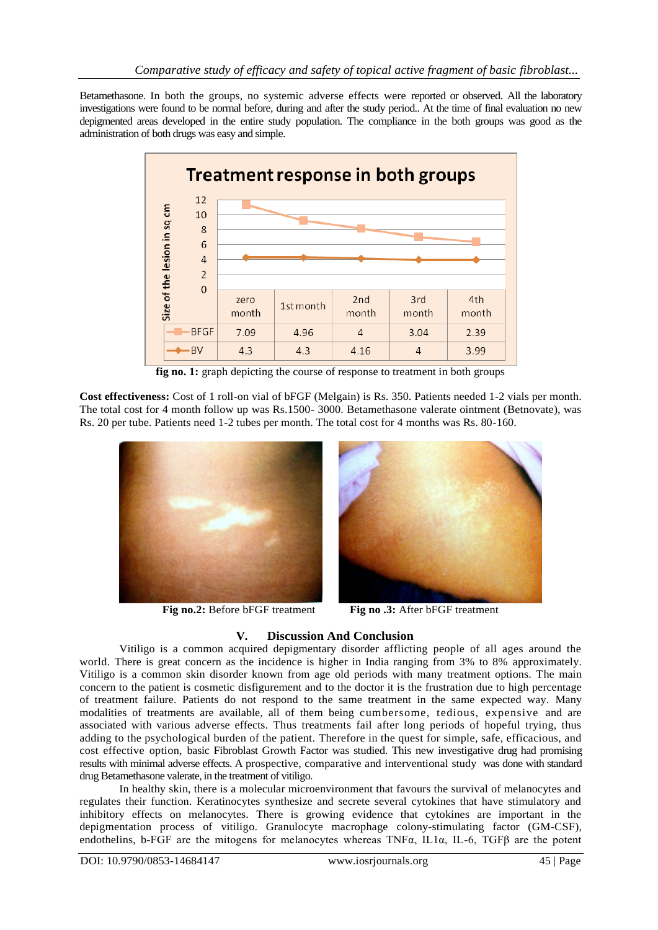Betamethasone. In both the groups, no systemic adverse effects were reported or observed. All the laboratory investigations were found to be normal before, during and after the study period.. At the time of final evaluation no new depigmented areas developed in the entire study population. The compliance in the both groups was good as the administration of both drugs was easy and simple.



**fig no. 1:** graph depicting the course of response to treatment in both groups

**Cost effectiveness:** Cost of 1 roll-on vial of bFGF (Melgain) is Rs. 350. Patients needed 1-2 vials per month. The total cost for 4 month follow up was Rs.1500- 3000. Betamethasone valerate ointment (Betnovate), was Rs. 20 per tube. Patients need 1-2 tubes per month. The total cost for 4 months was Rs. 80-160.





**Fig no.2:** Before bFGF treatment **Fig no .3:** After bFGF treatment

# **V. Discussion And Conclusion**

Vitiligo is a common acquired depigmentary disorder afflicting people of all ages around the world. There is great concern as the incidence is higher in India ranging from 3% to 8% approximately. Vitiligo is a common skin disorder known from age old periods with many treatment options. The main concern to the patient is cosmetic disfigurement and to the doctor it is the frustration due to high percentage of treatment failure. Patients do not respond to the same treatment in the same expected way. Many modalities of treatments are available, all of them being cumbersome, tedious, expensive and are associated with various adverse effects. Thus treatments fail after long periods of hopeful trying, thus adding to the psychological burden of the patient. Therefore in the quest for simple, safe, efficacious, and cost effective option, basic Fibroblast Growth Factor was studied. This new investigative drug had promising results with minimal adverse effects. A prospective, comparative and interventional study was done with standard drug Betamethasone valerate, in the treatment of vitiligo.

In healthy skin, there is a molecular microenvironment that favours the survival of melanocytes and regulates their function. Keratinocytes synthesize and secrete several cytokines that have stimulatory and inhibitory effects on melanocytes. There is growing evidence that cytokines are important in the depigmentation process of vitiligo. Granulocyte macrophage colony-stimulating factor (GM-CSF), endothelins, b-FGF are the mitogens for melanocytes whereas TNF $\alpha$ , IL1 $\alpha$ , IL-6, TGF $\beta$  are the potent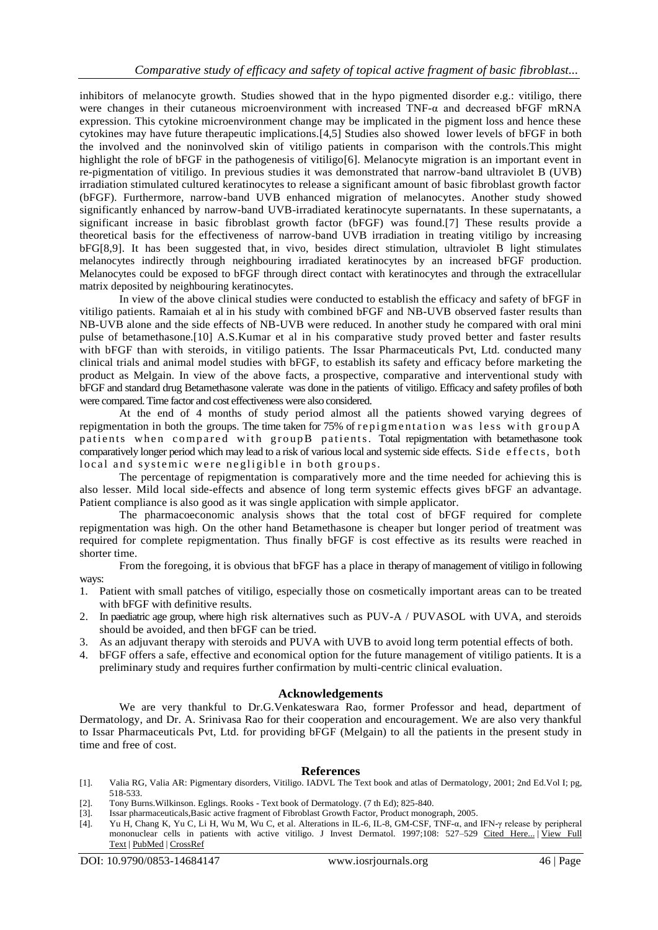inhibitors of melanocyte growth. Studies showed that in the hypo pigmented disorder e.g.: vitiligo, there were changes in their cutaneous microenvironment with increased TNF- $\alpha$  and decreased bFGF mRNA expression. This cytokine microenvironment change may be implicated in the pigment loss and hence these cytokines may have future therapeutic implications.[4,5] Studies also showed lower levels of bFGF in both the involved and the noninvolved skin of vitiligo patients in comparison with the controls.This might highlight the role of bFGF in the pathogenesis of vitiligo[6]. Melanocyte migration is an important event in re-pigmentation of vitiligo. In previous studies it was demonstrated that narrow-band ultraviolet B (UVB) irradiation stimulated cultured keratinocytes to release a significant amount of basic fibroblast growth factor (bFGF). Furthermore, narrow-band UVB enhanced migration of melanocytes. Another study showed significantly enhanced by narrow-band UVB-irradiated keratinocyte supernatants. In these supernatants, a significant increase in basic fibroblast growth factor (bFGF) was found.[7] These results provide a theoretical basis for the effectiveness of narrow-band UVB irradiation in treating vitiligo by increasing bFG[8,9]. It has been suggested that, in vivo, besides direct stimulation, ultraviolet B light stimulates melanocytes indirectly through neighbouring irradiated keratinocytes by an increased bFGF production. Melanocytes could be exposed to bFGF through direct contact with keratinocytes and through the extracellular matrix deposited by neighbouring keratinocytes.

In view of the above clinical studies were conducted to establish the efficacy and safety of bFGF in vitiligo patients. Ramaiah et al in his study with combined bFGF and NB-UVB observed faster results than NB-UVB alone and the side effects of NB-UVB were reduced. In another study he compared with oral mini pulse of betamethasone.[10] A.S.Kumar et al in his comparative study proved better and faster results with bFGF than with steroids, in vitiligo patients. The Issar Pharmaceuticals Pvt, Ltd. conducted many clinical trials and animal model studies with bFGF, to establish its safety and efficacy before marketing the product as Melgain. In view of the above facts, a prospective, comparative and interventional study with bFGF and standard drug Betamethasone valerate was done in the patients of vitiligo. Efficacy and safety profiles of both were compared. Time factor and cost effectiveness were also considered.

At the end of 4 months of study period almost all the patients showed varying degrees of repigmentation in both the groups. The time taken for 75% of repigmentation was less with group  $A$ patients when compared with groupB patients. Total repigmentation with betamethasone took comparatively longer period which may lead to a risk of various local and systemic side effects. Side effects, both local and systemic were negligible in both groups.

The percentage of repigmentation is comparatively more and the time needed for achieving this is also lesser. Mild local side-effects and absence of long term systemic effects gives bFGF an advantage. Patient compliance is also good as it was single application with simple applicator.

The pharmacoeconomic analysis shows that the total cost of bFGF required for complete repigmentation was high. On the other hand Betamethasone is cheaper but longer period of treatment was required for complete repigmentation. Thus finally bFGF is cost effective as its results were reached in shorter time.

From the foregoing, it is obvious that bFGF has a place in therapy of management of vitiligo in following ways:

- 1. Patient with small patches of vitiligo, especially those on cosmetically important areas can to be treated with bFGF with definitive results.
- 2. In paediatric age group, where high risk alternatives such as PUV-A / PUVASOL with UVA, and steroids should be avoided, and then bFGF can be tried.
- 3. As an adjuvant therapy with steroids and PUVA with UVB to avoid long term potential effects of both.
- 4. bFGF offers a safe, effective and economical option for the future management of vitiligo patients. It is a preliminary study and requires further confirmation by multi-centric clinical evaluation.

#### **Acknowledgements**

We are very thankful to Dr.G.Venkateswara Rao, former Professor and head, department of Dermatology, and Dr. A. Srinivasa Rao for their cooperation and encouragement. We are also very thankful to Issar Pharmaceuticals Pvt, Ltd. for providing bFGF (Melgain) to all the patients in the present study in time and free of cost.

## **References**

- [1]. Valia RG, Valia AR: Pigmentary disorders, Vitiligo. IADVL The Text book and atlas of Dermatology, 2001; 2nd Ed.Vol I; pg, 518-533.
- [2]. Tony Burns.Wilkinson. Eglings. Rooks Text book of Dermatology. (7 th Ed); 825-840.
- [3]. Issar pharmaceuticals,Basic active fragment of Fibroblast Growth Factor, Product monograph, 2005.
- [4]. Yu H, Chang K, Yu C, Li H, Wu M, Wu C, et al. Alterations in IL-6, IL-8, GM-CSF, TNF-α, and IFN-γ release by peripheral mononuclear cells in patients with active vitiligo. J Invest Dermatol. 1997;108: 527–529 [Cited Here...](http://journals.lww.com/jewds/Fulltext/2012/01000/Basic_fibroblast_growth_factor___vitiligo.4.aspx#P37) | [View Full](http://content.wkhealth.com/linkback/etoc/pt/fulltext.00004897-199704000-00023.htm)  [Text](http://content.wkhealth.com/linkback/etoc/pt/fulltext.00004897-199704000-00023.htm) | [PubMed](http://www.ncbi.nlm.nih.gov/pubmed/9077486) | [CrossRef](http://dx.doi.org/10.1111%2F1523-1747.ep12289743)